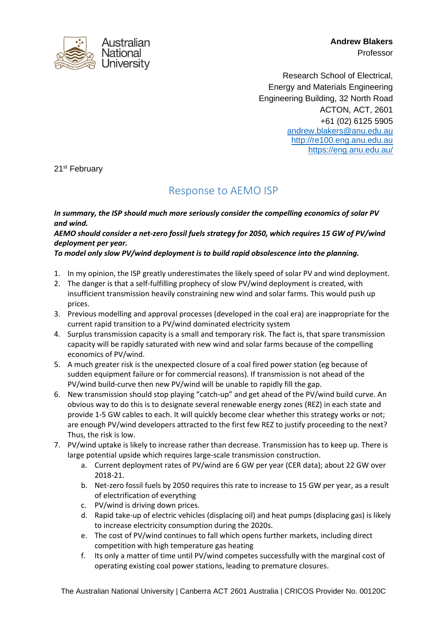

**Andrew Blakers** Professor

Research School of Electrical, Energy and Materials Engineering Engineering Building, 32 North Road ACTON, ACT, 2601 +61 (02) 6125 5905 [andrew.blakers@anu.edu.au](mailto:andrew.blakers@anu.edu.au) [http://re100.eng.anu.edu.au](http://re100.eng.anu.edu.au/) <https://eng.anu.edu.au/>

21st February

## Response to AEMO ISP

*In summary, the ISP should much more seriously consider the compelling economics of solar PV and wind.* 

## *AEMO should consider a net-zero fossil fuels strategy for 2050, which requires 15 GW of PV/wind deployment per year.*

## *To model only slow PV/wind deployment is to build rapid obsolescence into the planning.*

- 1. In my opinion, the ISP greatly underestimates the likely speed of solar PV and wind deployment.
- 2. The danger is that a self-fulfilling prophecy of slow PV/wind deployment is created, with insufficient transmission heavily constraining new wind and solar farms. This would push up prices.
- 3. Previous modelling and approval processes (developed in the coal era) are inappropriate for the current rapid transition to a PV/wind dominated electricity system
- 4. Surplus transmission capacity is a small and temporary risk. The fact is, that spare transmission capacity will be rapidly saturated with new wind and solar farms because of the compelling economics of PV/wind.
- 5. A much greater risk is the unexpected closure of a coal fired power station (eg because of sudden equipment failure or for commercial reasons). If transmission is not ahead of the PV/wind build-curve then new PV/wind will be unable to rapidly fill the gap.
- 6. New transmission should stop playing "catch-up" and get ahead of the PV/wind build curve. An obvious way to do this is to designate several renewable energy zones (REZ) in each state and provide 1-5 GW cables to each. It will quickly become clear whether this strategy works or not; are enough PV/wind developers attracted to the first few REZ to justify proceeding to the next? Thus, the risk is low.
- 7. PV/wind uptake is likely to increase rather than decrease. Transmission has to keep up. There is large potential upside which requires large-scale transmission construction.
	- a. Current deployment rates of PV/wind are 6 GW per year (CER data); about 22 GW over 2018-21.
	- b. Net-zero fossil fuels by 2050 requires this rate to increase to 15 GW per year, as a result of electrification of everything
	- c. PV/wind is driving down prices.
	- d. Rapid take-up of electric vehicles (displacing oil) and heat pumps (displacing gas) is likely to increase electricity consumption during the 2020s.
	- e. The cost of PV/wind continues to fall which opens further markets, including direct competition with high temperature gas heating
	- f. Its only a matter of time until PV/wind competes successfully with the marginal cost of operating existing coal power stations, leading to premature closures.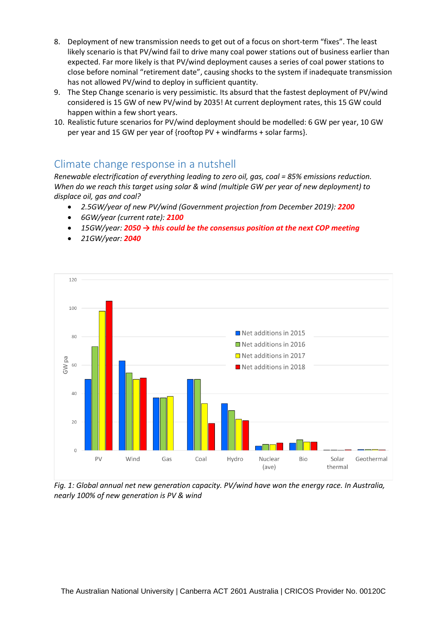- 8. Deployment of new transmission needs to get out of a focus on short-term "fixes". The least likely scenario is that PV/wind fail to drive many coal power stations out of business earlier than expected. Far more likely is that PV/wind deployment causes a series of coal power stations to close before nominal "retirement date", causing shocks to the system if inadequate transmission has not allowed PV/wind to deploy in sufficient quantity.
- 9. The Step Change scenario is very pessimistic. Its absurd that the fastest deployment of PV/wind considered is 15 GW of new PV/wind by 2035! At current deployment rates, this 15 GW could happen within a few short years.
- 10. Realistic future scenarios for PV/wind deployment should be modelled: 6 GW per year, 10 GW per year and 15 GW per year of {rooftop PV + windfarms + solar farms}.

## Climate change response in a nutshell

*Renewable electrification of everything leading to zero oil, gas, coal = 85% emissions reduction. When do we reach this target using solar & wind (multiple GW per year of new deployment) to displace oil, gas and coal?*

- *2.5GW/year of new PV/wind (Government projection from December 2019): 2200*
- *6GW/year (current rate): 2100*
- *15GW/year: 2050 → this could be the consensus position at the next COP meeting*
- *21GW/year: 2040*



*Fig. 1: Global annual net new generation capacity. PV/wind have won the energy race. In Australia, nearly 100% of new generation is PV & wind*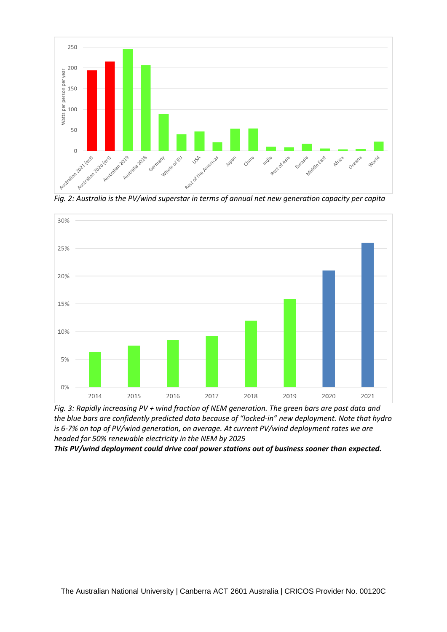

*Fig. 2: Australia is the PV/wind superstar in terms of annual net new generation capacity per capita*



*Fig. 3: Rapidly increasing PV + wind fraction of NEM generation. The green bars are past data and the blue bars are confidently predicted data because of "locked-in" new deployment. Note that hydro is 6-7% on top of PV/wind generation, on average. At current PV/wind deployment rates we are headed for 50% renewable electricity in the NEM by 2025*

*This PV/wind deployment could drive coal power stations out of business sooner than expected.*